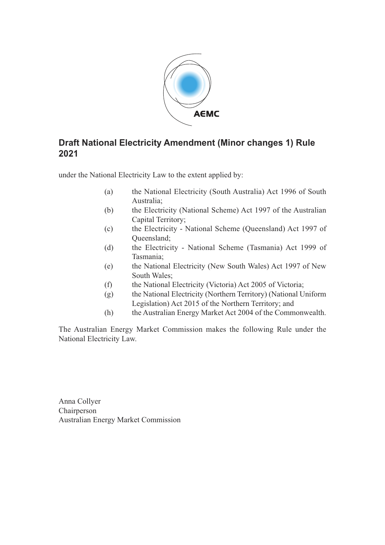

#### **Draft National Electricity Amendment (Minor changes 1) Rule 2021**

under the National Electricity Law to the extent applied by:

- (a) the National Electricity (South Australia) Act 1996 of South Australia;
- (b) the Electricity (National Scheme) Act 1997 of the Australian Capital Territory;
- (c) the Electricity National Scheme (Queensland) Act 1997 of Queensland;
- (d) the Electricity National Scheme (Tasmania) Act 1999 of Tasmania;
- (e) the National Electricity (New South Wales) Act 1997 of New South Wales;
- (f) the National Electricity (Victoria) Act 2005 of Victoria;
- (g) the National Electricity (Northern Territory) (National Uniform Legislation) Act 2015 of the Northern Territory; and
- (h) the Australian Energy Market Act 2004 of the Commonwealth.

The Australian Energy Market Commission makes the following Rule under the National Electricity Law.

Anna Collyer Chairperson Australian Energy Market Commission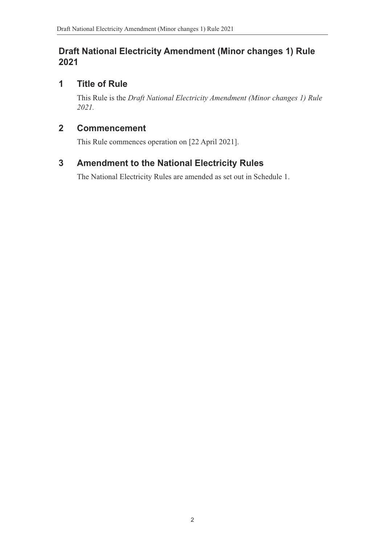#### **Draft National Electricity Amendment (Minor changes 1) Rule 2021**

## **1 Title of Rule**

This Rule is the *Draft National Electricity Amendment (Minor changes 1) Rule 2021.*

#### **2 Commencement**

This Rule commences operation on [22 April 2021].

# **3 Amendment to the National Electricity Rules**

<span id="page-1-0"></span>The National Electricity Rules are amended as set out in Schedule 1.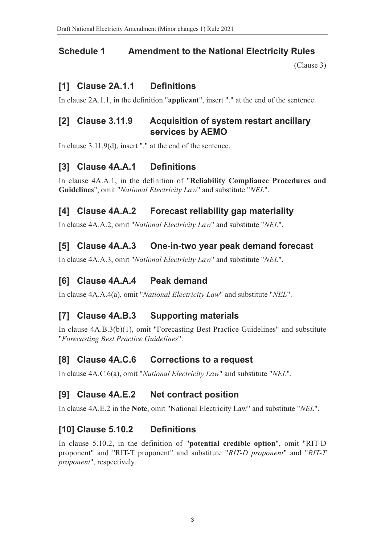#### **Schedule 1 Amendment to the National Electricity Rules**

(Clause 3)

#### **[1] Clause 2A.1.1 Definitions**

In clause 2A.1.1, in the definition "**applicant**", insert "." at the end of the s[entence.](#page-1-0)

#### **[2] Clause 3.11.9 Acquisition of system restart ancillary services by AEMO**

In clause 3.11.9(d), insert "." at the end of the sentence.

#### **[3] Clause 4A.A.1 Definitions**

In clause 4A.A.1, in the definition of "**Reliability Compliance Procedures and Guidelines**", omit "*National Electricity Law*" and substitute "*NEL*".

#### **[4] Clause 4A.A.2 Forecast reliability gap materiality**

In clause 4A.A.2, omit "*National Electricity Law*" and substitute "*NEL*".

#### **[5] Clause 4A.A.3 One-in-two year peak demand forecast**

In clause 4A.A.3, omit "*National Electricity Law*" and substitute "*NEL*".

#### **[6] Clause 4A.A.4 Peak demand**

In clause 4A.A.4(a), omit "*National Electricity Law*" and substitute "*NEL*".

#### **[7] Clause 4A.B.3 Supporting materials**

In clause 4A.B.3(b)(1), omit "Forecasting Best Practice Guidelines" and substitute "*Forecasting Best Practice Guidelines*".

#### **[8] Clause 4A.C.6 Corrections to a request**

In clause 4A.C.6(a), omit "*National Electricity Law*" and substitute "*NEL*".

#### **[9] Clause 4A.E.2 Net contract position**

In clause 4A.E.2 in the **Note**, omit "National Electricity Law" and substitute "*NEL*".

#### **[10] Clause 5.10.2 Definitions**

In clause 5.10.2, in the definition of "**potential credible option**", omit "RIT-D proponent" and "RIT-T proponent" and substitute "*RIT-D proponent*" and "*RIT-T proponent*", respectively.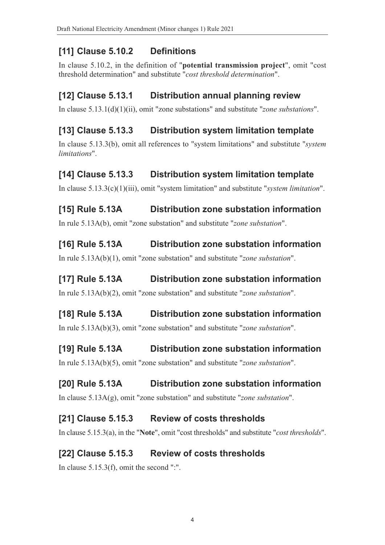# **[11] Clause 5.10.2 Definitions**

In clause 5.10.2, in the definition of "**potential transmission project**", omit "cost threshold determination" and substitute "*cost threshold determination*".

# **[12] Clause 5.13.1 Distribution annual planning review**

In clause 5.13.1(d)(1)(ii), omit "zone substations" and substitute "*zone substations*".

# **[13] Clause 5.13.3 Distribution system limitation template**

In clause 5.13.3(b), omit all references to "system limitations" and substitute "*system limitations*".

# **[14] Clause 5.13.3 Distribution system limitation template**

In clause 5.13.3(c)(1)(iii), omit "system limitation" and substitute "*system limitation*".

# **[15] Rule 5.13A Distribution zone substation information**

In rule 5.13A(b), omit "zone substation" and substitute "*zone substation*".

# **[16] Rule 5.13A Distribution zone substation information**

In rule 5.13A(b)(1), omit "zone substation" and substitute "*zone substation*".

### **[17] Rule 5.13A Distribution zone substation information**

In rule 5.13A(b)(2), omit "zone substation" and substitute "*zone substation*".

# **[18] Rule 5.13A Distribution zone substation information**

In rule 5.13A(b)(3), omit "zone substation" and substitute "*zone substation*".

# **[19] Rule 5.13A Distribution zone substation information**

In rule 5.13A(b)(5), omit "zone substation" and substitute "*zone substation*".

# **[20] Rule 5.13A Distribution zone substation information**

In clause 5.13A(g), omit "zone substation" and substitute "*zone substation*".

### **[21] Clause 5.15.3 Review of costs thresholds**

In clause 5.15.3(a), in the "**Note**", omit "cost thresholds" and substitute "*cost thresholds*".

# **[22] Clause 5.15.3 Review of costs thresholds**

In clause 5.15.3(f), omit the second ":".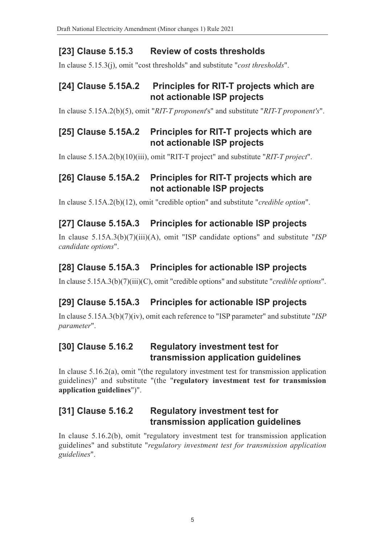# **[23] Clause 5.15.3 Review of costs thresholds**

In clause 5.15.3(j), omit "cost thresholds" and substitute "*cost thresholds*".

#### **[24] Clause 5.15A.2 Principles for RIT-T projects which are not actionable ISP projects**

In clause 5.15A.2(b)(5), omit "*RIT-T proponent*'s" and substitute "*RIT-T proponent's*".

### **[25] Clause 5.15A.2 Principles for RIT-T projects which are not actionable ISP projects**

In clause 5.15A.2(b)(10)(iii), omit "RIT-T project" and substitute "*RIT-T project*".

# **[26] Clause 5.15A.2 Principles for RIT-T projects which are not actionable ISP projects**

In clause 5.15A.2(b)(12), omit "credible option" and substitute "*credible option*".

# **[27] Clause 5.15A.3 Principles for actionable ISP projects**

In clause 5.15A.3(b)(7)(iii)(A), omit "ISP candidate options" and substitute "*ISP candidate options*".

# **[28] Clause 5.15A.3 Principles for actionable ISP projects**

In clause 5.15A.3(b)(7)(iii)(C), omit "credible options" and substitute "*credible options*".

# **[29] Clause 5.15A.3 Principles for actionable ISP projects**

In clause 5.15A.3(b)(7)(iv), omit each reference to "ISP parameter" and substitute "*ISP parameter*".

#### **[30] Clause 5.16.2 Regulatory investment test for transmission application guidelines**

In clause 5.16.2(a), omit "(the regulatory investment test for transmission application guidelines)" and substitute "(the "**regulatory investment test for transmission application guidelines**")".

# **[31] Clause 5.16.2 Regulatory investment test for transmission application guidelines**

In clause 5.16.2(b), omit "regulatory investment test for transmission application guidelines" and substitute "*regulatory investment test for transmission application guidelines*".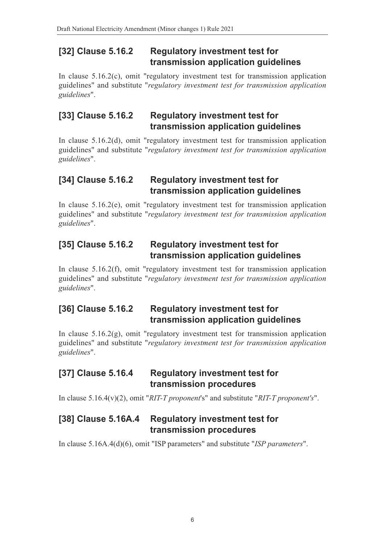#### **[32] Clause 5.16.2 Regulatory investment test for transmission application guidelines**

In clause 5.16.2(c), omit "regulatory investment test for transmission application guidelines" and substitute "*regulatory investment test for transmission application guidelines*".

#### **[33] Clause 5.16.2 Regulatory investment test for transmission application guidelines**

In clause 5.16.2(d), omit "regulatory investment test for transmission application guidelines" and substitute "*regulatory investment test for transmission application guidelines*".

#### **[34] Clause 5.16.2 Regulatory investment test for transmission application guidelines**

In clause 5.16.2(e), omit "regulatory investment test for transmission application guidelines" and substitute "*regulatory investment test for transmission application guidelines*".

#### **[35] Clause 5.16.2 Regulatory investment test for transmission application guidelines**

In clause 5.16.2(f), omit "regulatory investment test for transmission application guidelines" and substitute "*regulatory investment test for transmission application guidelines*".

### **[36] Clause 5.16.2 Regulatory investment test for transmission application guidelines**

In clause 5.16.2(g), omit "regulatory investment test for transmission application guidelines" and substitute "*regulatory investment test for transmission application guidelines*".

#### **[37] Clause 5.16.4 Regulatory investment test for transmission procedures**

In clause 5.16.4(v)(2), omit "*RIT-T proponent*'s" and substitute "*RIT-T proponent's*".

#### **[38] Clause 5.16A.4 Regulatory investment test for transmission procedures**

In clause 5.16A.4(d)(6), omit "ISP parameters" and substitute "*ISP parameters*".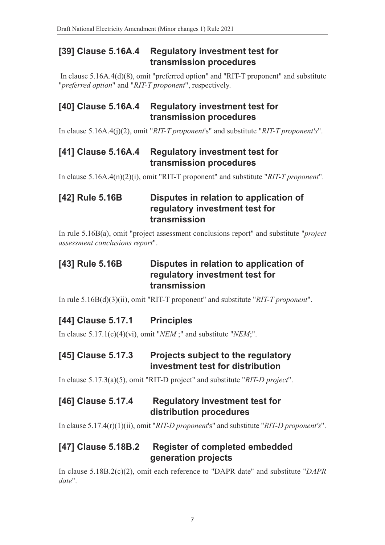#### **[39] Clause 5.16A.4 Regulatory investment test for transmission procedures**

 In clause 5.16A.4(d)(8), omit "preferred option" and "RIT-T proponent" and substitute "*preferred option*" and "*RIT-T proponent*", respectively.

### **[40] Clause 5.16A.4 Regulatory investment test for transmission procedures**

In clause 5.16A.4(j)(2), omit "*RIT-T proponent*'s" and substitute "*RIT-T proponent's*".

#### **[41] Clause 5.16A.4 Regulatory investment test for transmission procedures**

In clause 5.16A.4(n)(2)(i), omit "RIT-T proponent" and substitute "*RIT-T proponent*".

### **[42] Rule 5.16B Disputes in relation to application of regulatory investment test for transmission**

In rule 5.16B(a), omit "project assessment conclusions report" and substitute "*project assessment conclusions report*".

### **[43] Rule 5.16B Disputes in relation to application of regulatory investment test for transmission**

In rule 5.16B(d)(3)(ii), omit "RIT-T proponent" and substitute "*RIT-T proponent*".

# **[44] Clause 5.17.1 Principles**

In clause 5.17.1(c)(4)(vi), omit "*NEM* ;" and substitute "*NEM*;".

### **[45] Clause 5.17.3 Projects subject to the regulatory investment test for distribution**

In clause 5.17.3(a)(5), omit "RIT-D project" and substitute "*RIT-D project*".

### **[46] Clause 5.17.4 Regulatory investment test for distribution procedures**

In clause 5.17.4(r)(1)(ii), omit "*RIT-D proponent*'s" and substitute "*RIT-D proponent's*".

# **[47] Clause 5.18B.2 Register of completed embedded generation projects**

In clause 5.18B.2(c)(2), omit each reference to "DAPR date" and substitute "*DAPR date*".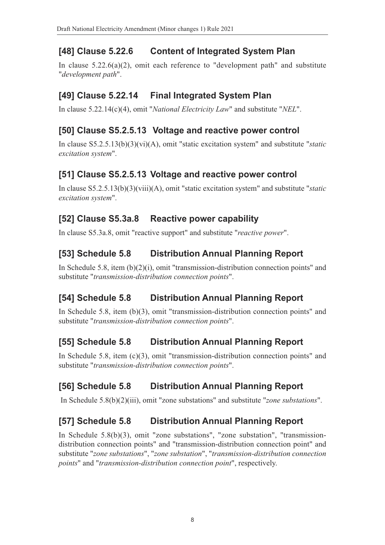# **[48] Clause 5.22.6 Content of Integrated System Plan**

In clause 5.22.6(a)(2), omit each reference to "development path" and substitute "*development path*".

## **[49] Clause 5.22.14 Final Integrated System Plan**

In clause 5.22.14(c)(4), omit "*National Electricity Law*" and substitute "*NEL*".

# **[50] Clause S5.2.5.13 Voltage and reactive power control**

In clause S5.2.5.13(b)(3)(vi)(A), omit "static excitation system" and substitute "*static excitation system*".

# **[51] Clause S5.2.5.13 Voltage and reactive power control**

In clause S5.2.5.13(b)(3)(viii)(A), omit "static excitation system" and substitute "*static excitation system*".

# **[52] Clause S5.3a.8 Reactive power capability**

In clause S5.3a.8, omit "reactive support" and substitute "*reactive power*".

# **[53] Schedule 5.8 Distribution Annual Planning Report**

In Schedule 5.8, item (b)(2)(i), omit "transmission-distribution connection points" and substitute "*transmission-distribution connection points*".

# **[54] Schedule 5.8 Distribution Annual Planning Report**

In Schedule 5.8, item (b)(3), omit "transmission-distribution connection points" and substitute "*transmission-distribution connection points*".

# **[55] Schedule 5.8 Distribution Annual Planning Report**

In Schedule 5.8, item (c)(3), omit "transmission-distribution connection points" and substitute "*transmission-distribution connection points*".

# **[56] Schedule 5.8 Distribution Annual Planning Report**

In Schedule 5.8(b)(2)(iii), omit "zone substations" and substitute "*zone substations*".

# **[57] Schedule 5.8 Distribution Annual Planning Report**

In Schedule 5.8(b)(3), omit "zone substations", "zone substation", "transmissiondistribution connection points" and "transmission-distribution connection point" and substitute "*zone substations*", "*zone substation*", "*transmission-distribution connection points*" and "*transmission-distribution connection point*", respectively.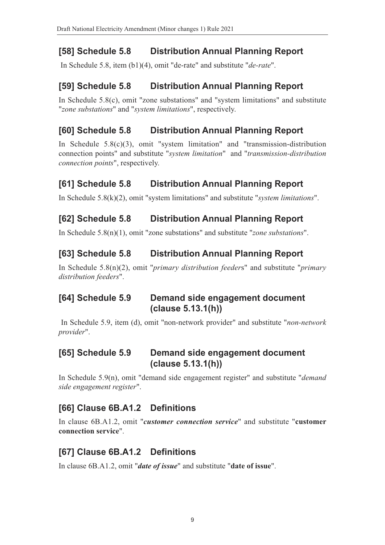# **[58] Schedule 5.8 Distribution Annual Planning Report**

In Schedule 5.8, item (b1)(4), omit "de-rate" and substitute "*de-rate*".

# **[59] Schedule 5.8 Distribution Annual Planning Report**

In Schedule 5.8(c), omit "zone substations" and "system limitations" and substitute "*zone substations*" and "*system limitations*", respectively.

# **[60] Schedule 5.8 Distribution Annual Planning Report**

In Schedule 5.8(c)(3), omit "system limitation" and "transmission-distribution connection points" and substitute "*system limitation*" and "*transmission-distribution connection points*", respectively.

# **[61] Schedule 5.8 Distribution Annual Planning Report**

In Schedule 5.8(k)(2), omit "system limitations" and substitute "*system limitations*".

# **[62] Schedule 5.8 Distribution Annual Planning Report**

In Schedule 5.8(n)(1), omit "zone substations" and substitute "*zone substations*".

# **[63] Schedule 5.8 Distribution Annual Planning Report**

In Schedule 5.8(n)(2), omit "*primary distribution feeder*s" and substitute "*primary distribution feeders*".

#### **[64] Schedule 5.9 Demand side engagement document (clause 5.13.1(h))**

 In Schedule 5.9, item (d), omit "non-network provider" and substitute "*non-network provider*".

#### **[65] Schedule 5.9 Demand side engagement document (clause 5.13.1(h))**

In Schedule 5.9(n), omit "demand side engagement register" and substitute "*demand side engagement register*".

# **[66] Clause 6B.A1.2 Definitions**

In clause 6B.A1.2, omit "*customer connection service*" and substitute "**customer connection service**".

# **[67] Clause 6B.A1.2 Definitions**

In clause 6B.A1.2, omit "*date of issue*" and substitute "**date of issue**".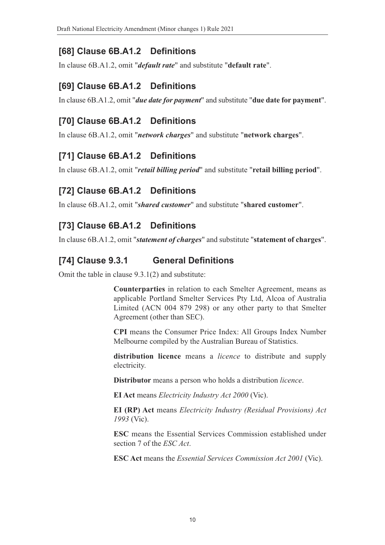### **[68] Clause 6B.A1.2 Definitions**

In clause 6B.A1.2, omit "*default rate*" and substitute "**default rate**".

#### **[69] Clause 6B.A1.2 Definitions**

In clause 6B.A1.2, omit "*due date for payment*" and substitute "**due date for payment**".

## **[70] Clause 6B.A1.2 Definitions**

In clause 6B.A1.2, omit "*network charges*" and substitute "**network charges**".

#### **[71] Clause 6B.A1.2 Definitions**

In clause 6B.A1.2, omit "*retail billing period*" and substitute "**retail billing period**".

### **[72] Clause 6B.A1.2 Definitions**

In clause 6B.A1.2, omit "*shared customer*" and substitute "**shared customer**".

### **[73] Clause 6B.A1.2 Definitions**

In clause 6B.A1.2, omit "*statement of charges*" and substitute "**statement of charges**".

#### **[74] Clause 9.3.1 General Definitions**

Omit the table in clause 9.3.1(2) and substitute:

**Counterparties** in relation to each Smelter Agreement, means as applicable Portland Smelter Services Pty Ltd, Alcoa of Australia Limited (ACN 004 879 298) or any other party to that Smelter Agreement (other than SEC).

**CPI** means the Consumer Price Index: All Groups Index Number Melbourne compiled by the Australian Bureau of Statistics.

**distribution licence** means a *licence* to distribute and supply electricity.

**Distributor** means a person who holds a distribution *licence*.

**EI Act** means *Electricity Industry Act 2000* (Vic).

**EI (RP) Act** means *Electricity Industry (Residual Provisions) Act 1993* (Vic).

**ESC** means the Essential Services Commission established under section 7 of the *ESC Act*.

**ESC Act** means the *Essential Services Commission Act 2001* (Vic).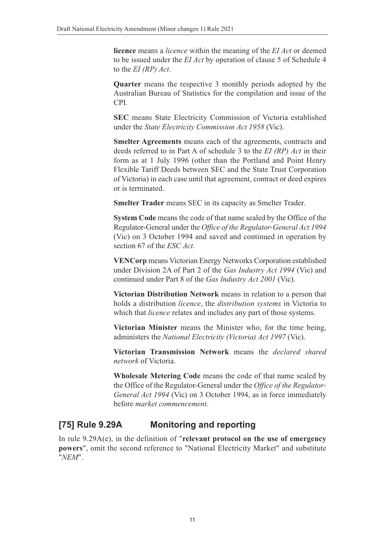**licence** means a *licence* within the meaning of the *EI Act* or deemed to be issued under the *EI Act* by operation of clause 5 of Schedule 4 to the *EI (RP) Act*.

**Quarter** means the respective 3 monthly periods adopted by the Australian Bureau of Statistics for the compilation and issue of the CPI.

**SEC** means State Electricity Commission of Victoria established under the *State Electricity Commission Act 1958* (Vic).

**Smelter Agreements** means each of the agreements, contracts and deeds referred to in Part A of schedule 3 to the *EI (RP) Act* in their form as at 1 July 1996 (other than the Portland and Point Henry Flexible Tariff Deeds between SEC and the State Trust Corporation of Victoria) in each case until that agreement, contract or deed expires or is terminated.

**Smelter Trader** means SEC in its capacity as Smelter Trader.

**System Code** means the code of that name sealed by the Office of the Regulator-General under the *Office of the Regulator-General Act 1994* (Vic) on 3 October 1994 and saved and continued in operation by section 67 of the *ESC Act*.

**VENCorp** means Victorian Energy Networks Corporation established under Division 2A of Part 2 of the *Gas Industry Act 1994* (Vic) and continued under Part 8 of the *Gas Industry Act 2001* (Vic).

**Victorian Distribution Network** means in relation to a person that holds a distribution *licence*, the *distribution systems* in Victoria to which that *licence* relates and includes any part of those systems.

**Victorian Minister** means the Minister who, for the time being, administers the *National Electricity (Victoria) Act 1997* (Vic).

**Victorian Transmission Network** means the *declared shared network* of Victoria.

**Wholesale Metering Code** means the code of that name sealed by the Office of the Regulator-General under the *Office of the Regulator-General Act 1994* (Vic) on 3 October 1994, as in force immediately before *market commencement*.

### **[75] Rule 9.29A Monitoring and reporting**

In rule 9.29A(e), in the definition of "**relevant protocol on the use of emergency powers**", omit the second reference to "National Electricity Market" and substitute "*NEM*".